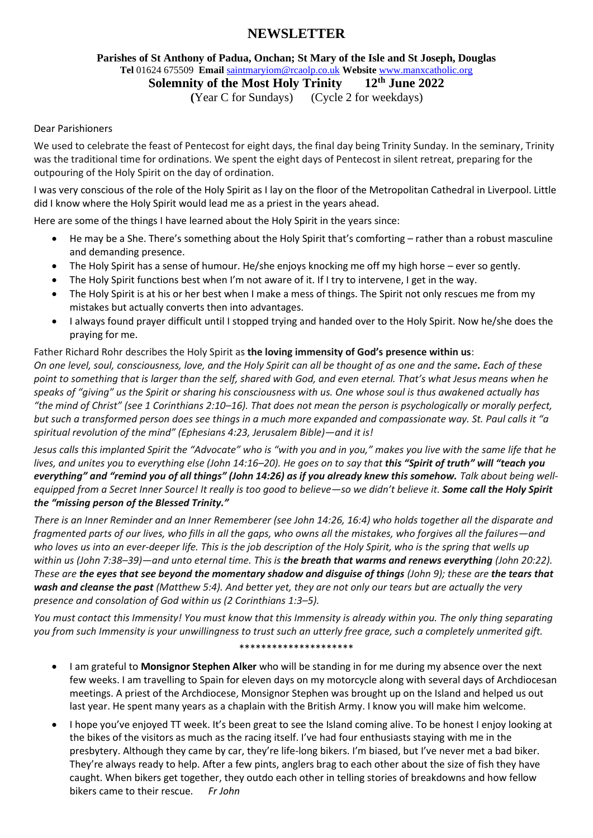# **NEWSLETTER**

### **Parishes of St Anthony of Padua, Onchan; St Mary of the Isle and St Joseph, Douglas Tel** 01624 675509 **Email** [saintmaryiom@rcaolp.co.uk](mailto:saintmaryiom@rcaolp.co.uk) **Website** [www.manxcatholic.org](http://www.manxcatholic.org/)

**Solemnity of the Most Holy Trinity 12th June 2022**

 **(**Year C for Sundays) (Cycle 2 for weekdays)

### Dear Parishioners

We used to celebrate the feast of Pentecost for eight days, the final day being Trinity Sunday. In the seminary, Trinity was the traditional time for ordinations. We spent the eight days of Pentecost in silent retreat, preparing for the outpouring of the Holy Spirit on the day of ordination.

I was very conscious of the role of the Holy Spirit as I lay on the floor of the Metropolitan Cathedral in Liverpool. Little did I know where the Holy Spirit would lead me as a priest in the years ahead.

Here are some of the things I have learned about the Holy Spirit in the years since:

- He may be a She. There's something about the Holy Spirit that's comforting rather than a robust masculine and demanding presence.
- The Holy Spirit has a sense of humour. He/she enjoys knocking me off my high horse ever so gently.
- The Holy Spirit functions best when I'm not aware of it. If I try to intervene, I get in the way.
- The Holy Spirit is at his or her best when I make a mess of things. The Spirit not only rescues me from my mistakes but actually converts then into advantages.
- I always found prayer difficult until I stopped trying and handed over to the Holy Spirit. Now he/she does the praying for me.

## Father Richard Rohr describes the Holy Spirit as **the loving immensity of God's presence within us**: *On one level, soul, consciousness, love, and the Holy Spirit can all be thought of as one and the same. Each of these point to something that is larger than the self, shared with God, and even eternal. That's what Jesus means when he speaks of "giving" us the Spirit or sharing his consciousness with us. One whose soul is thus awakened actually has "the mind of Christ" (see 1 Corinthians 2:10–16). That does not mean the person is psychologically or morally perfect, but such a transformed person does see things in a much more expanded and compassionate way. St. Paul calls it "a spiritual revolution of the mind" (Ephesians 4:23, Jerusalem Bible)—and it is!*

*Jesus calls this implanted Spirit the "Advocate" who is "with you and in you," makes you live with the same life that he lives, and unites you to everything else (John 14:16–20). He goes on to say that this "Spirit of truth" will "teach you everything" and "remind you of all things" (John 14:26) as if you already knew this somehow. Talk about being wellequipped from a Secret Inner Source! It really is too good to believe—so we didn't believe it. Some call the Holy Spirit the "missing person of the Blessed Trinity."*

*There is an Inner Reminder and an Inner Rememberer (see John 14:26, 16:4) who holds together all the disparate and fragmented parts of our lives, who fills in all the gaps, who owns all the mistakes, who forgives all the failures—and who loves us into an ever-deeper life. This is the job description of the Holy Spirit, who is the spring that wells up within us (John 7:38–39)—and unto eternal time. This is the breath that warms and renews everything (John 20:22). These are the eyes that see beyond the momentary shadow and disguise of things (John 9); these are the tears that wash and cleanse the past (Matthew 5:4). And better yet, they are not only our tears but are actually the very presence and consolation of God within us (2 Corinthians 1:3–5).*

*You must contact this Immensity! You must know that this Immensity is already within you. The only thing separating you from such Immensity is your unwillingness to trust such an utterly free grace, such a completely unmerited gift.*

#### \*\*\*\*\*\*\*\*\*\*\*\*\*\*\*\*\*\*\*\*\*

- I am grateful to **Monsignor Stephen Alker** who will be standing in for me during my absence over the next few weeks. I am travelling to Spain for eleven days on my motorcycle along with several days of Archdiocesan meetings. A priest of the Archdiocese, Monsignor Stephen was brought up on the Island and helped us out last year. He spent many years as a chaplain with the British Army. I know you will make him welcome.
- I hope you've enjoyed TT week. It's been great to see the Island coming alive. To be honest I enjoy looking at the bikes of the visitors as much as the racing itself. I've had four enthusiasts staying with me in the presbytery. Although they came by car, they're life-long bikers. I'm biased, but I've never met a bad biker. They're always ready to help. After a few pints, anglers brag to each other about the size of fish they have caught. When bikers get together, they outdo each other in telling stories of breakdowns and how fellow bikers came to their rescue. *Fr John*